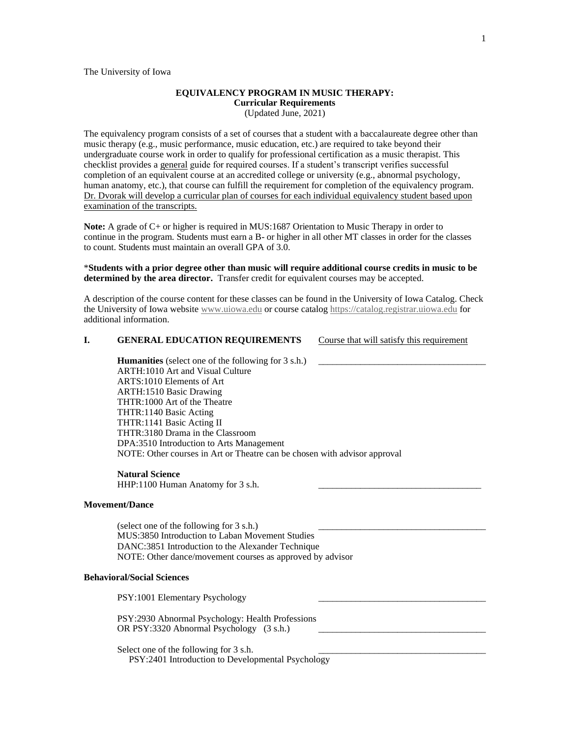# **EQUIVALENCY PROGRAM IN MUSIC THERAPY: Curricular Requirements**

(Updated June, 2021)

The equivalency program consists of a set of courses that a student with a baccalaureate degree other than music therapy (e.g., music performance, music education, etc.) are required to take beyond their undergraduate course work in order to qualify for professional certification as a music therapist. This checklist provides a general guide for required courses. If a student's transcript verifies successful completion of an equivalent course at an accredited college or university (e.g., abnormal psychology, human anatomy, etc.), that course can fulfill the requirement for completion of the equivalency program. Dr. Dvorak will develop a curricular plan of courses for each individual equivalency student based upon examination of the transcripts.

**Note:** A grade of C+ or higher is required in MUS:1687 Orientation to Music Therapy in order to continue in the program. Students must earn a B- or higher in all other MT classes in order for the classes to count. Students must maintain an overall GPA of 3.0.

\***Students with a prior degree other than music will require additional course credits in music to be determined by the area director.** Transfer credit for equivalent courses may be accepted.

A description of the course content for these classes can be found in the University of Iowa Catalog. Check the University of Iowa website [www.uiowa.edu](http://www.uiowa.edu/) or course catalo[g https://catalog.registrar.uiowa.edu](https://catalog.registrar.uiowa.edu/) for additional information.

## **I. GENERAL EDUCATION REQUIREMENTS** Course that will satisfy this requirement

**Humanities** (select one of the following for 3 s.h.) ARTH:1010 Art and Visual Culture ARTS:1010 Elements of Art ARTH:1510 Basic Drawing THTR:1000 Art of the Theatre THTR:1140 Basic Acting THTR:1141 Basic Acting II THTR:3180 Drama in the Classroom DPA:3510 Introduction to Arts Management NOTE: Other courses in Art or Theatre can be chosen with advisor approval

#### **Natural Science**

HHP:1100 Human Anatomy for 3 s.h.

## **Movement/Dance**

(select one of the following for  $3 \text{ s.h.}$ ) MUS:3850 Introduction to Laban Movement Studies DANC:3851 Introduction to the Alexander Technique NOTE: Other dance/movement courses as approved by advisor

## **Behavioral/Social Sciences**

PSY:1001 Elementary Psychology PSY:2930 Abnormal Psychology: Health Professions OR PSY:3320 Abnormal Psychology (3 s.h.) Select one of the following for  $3 \text{ s.h.}$ PSY:2401 Introduction to Developmental Psychology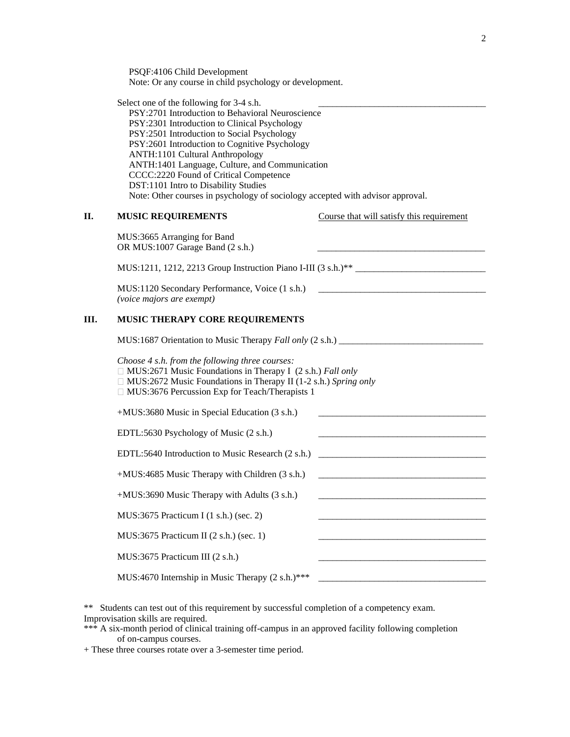PSQF:4106 Child Development Note: Or any course in child psychology or development.

Select one of the following for  $3-4$  s.h. PSY:2701 Introduction to Behavioral Neuroscience PSY:2301 Introduction to Clinical Psychology PSY:2501 Introduction to Social Psychology PSY:2601 Introduction to Cognitive Psychology ANTH:1101 Cultural Anthropology ANTH:1401 Language, Culture, and Communication CCCC:2220 Found of Critical Competence DST:1101 Intro to Disability Studies Note: Other courses in psychology of sociology accepted with advisor approval.

| Η. | <b>MUSIC REQUIREMENTS</b>                                                                                                                                                                                                                          | Course that will satisfy this requirement |
|----|----------------------------------------------------------------------------------------------------------------------------------------------------------------------------------------------------------------------------------------------------|-------------------------------------------|
|    | MUS:3665 Arranging for Band<br>OR MUS:1007 Garage Band (2 s.h.)                                                                                                                                                                                    |                                           |
|    | MUS:1211, 1212, 2213 Group Instruction Piano I-III (3 s.h.)**                                                                                                                                                                                      |                                           |
|    | MUS:1120 Secondary Performance, Voice (1 s.h.) _________________________________<br>(voice majors are exempt)                                                                                                                                      |                                           |
| Ш. | MUSIC THERAPY CORE REQUIREMENTS                                                                                                                                                                                                                    |                                           |
|    | MUS:1687 Orientation to Music Therapy Fall only (2 s.h.) ________________________                                                                                                                                                                  |                                           |
|    | Choose 4 s.h. from the following three courses:<br>$\Box$ MUS:2671 Music Foundations in Therapy I (2 s.h.) Fall only<br>$\Box$ MUS:2672 Music Foundations in Therapy II (1-2 s.h.) Spring only<br>□ MUS:3676 Percussion Exp for Teach/Therapists 1 |                                           |
|    | +MUS:3680 Music in Special Education (3 s.h.)                                                                                                                                                                                                      |                                           |
|    | EDTL:5630 Psychology of Music (2 s.h.)                                                                                                                                                                                                             |                                           |
|    | EDTL:5640 Introduction to Music Research (2 s.h.)                                                                                                                                                                                                  |                                           |
|    | +MUS:4685 Music Therapy with Children (3 s.h.)                                                                                                                                                                                                     |                                           |
|    | +MUS:3690 Music Therapy with Adults (3 s.h.)                                                                                                                                                                                                       |                                           |
|    | MUS:3675 Practicum I (1 s.h.) (sec. 2)                                                                                                                                                                                                             |                                           |
|    | MUS:3675 Practicum II (2 s.h.) (sec. 1)                                                                                                                                                                                                            |                                           |
|    | MUS:3675 Practicum III (2 s.h.)                                                                                                                                                                                                                    |                                           |
|    | MUS:4670 Internship in Music Therapy (2 s.h.)***                                                                                                                                                                                                   |                                           |
|    |                                                                                                                                                                                                                                                    |                                           |

\*\* Students can test out of this requirement by successful completion of a competency exam. Improvisation skills are required.

\*\*\* A six-month period of clinical training off-campus in an approved facility following completion of on-campus courses.

+ These three courses rotate over a 3-semester time period.